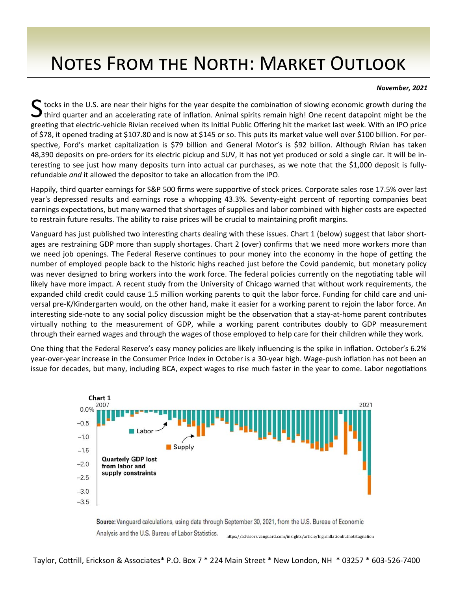## NOTES FROM THE NORTH: MARKET OUTLOOK

## *November, 2021*

S tocks in the U.S. are near their highs for the year despite the combination of slowing economic growth during the<br>Sthird quarter and an accelerating rate of inflation. Animal spirits remain high! One recent datapoint mig greeting that electric-vehicle Rivian received when its Initial Public Offering hit the market last week. With an IPO price of \$78, it opened trading at \$107.80 and is now at \$145 or so. This puts its market value well over \$100 billion. For per‐ spective, Ford's market capitalization is \$79 billion and General Motor's is \$92 billion. Although Rivian has taken 48,390 deposits on pre-orders for its electric pickup and SUV, it has not yet produced or sold a single car. It will be interesting to see just how many deposits turn into actual car purchases, as we note that the \$1,000 deposit is fullyrefundable *and* it allowed the depositor to take an allocation from the IPO.

Happily, third quarter earnings for S&P 500 firms were supportive of stock prices. Corporate sales rose 17.5% over last year's depressed results and earnings rose a whopping 43.3%. Seventy-eight percent of reporting companies beat earnings expectations, but many warned that shortages of supplies and labor combined with higher costs are expected to restrain future results. The ability to raise prices will be crucial to maintaining profit margins.

Vanguard has just published two interesting charts dealing with these issues. Chart 1 (below) suggest that labor shortages are restraining GDP more than supply shortages. Chart 2 (over) confirms that we need more workers more than we need job openings. The Federal Reserve continues to pour money into the economy in the hope of getting the number of employed people back to the historic highs reached just before the Covid pandemic, but monetary policy was never designed to bring workers into the work force. The federal policies currently on the negotiating table will likely have more impact. A recent study from the University of Chicago warned that without work requirements, the expanded child credit could cause 1.5 million working parents to quit the labor force. Funding for child care and uni‐ versal pre‐K/Kindergarten would, on the other hand, make it easier for a working parent to rejoin the labor force. An interesting side-note to any social policy discussion might be the observation that a stay-at-home parent contributes virtually nothing to the measurement of GDP, while a working parent contributes doubly to GDP measurement through their earned wages and through the wages of those employed to help care for their children while they work.

One thing that the Federal Reserve's easy money policies are likely influencing is the spike in inflation. October's 6.2% year-over-year increase in the Consumer Price Index in October is a 30-year high. Wage-push inflation has not been an issue for decades, but many, including BCA, expect wages to rise much faster in the year to come. Labor negotiations



Source: Vanguard calculations, using data through September 30, 2021, from the U.S. Bureau of Economic Analysis and the U.S. Bureau of Labor Statistics. https://advisors.vanguard.com/insights/article/highinϐlationbutnotstagnation